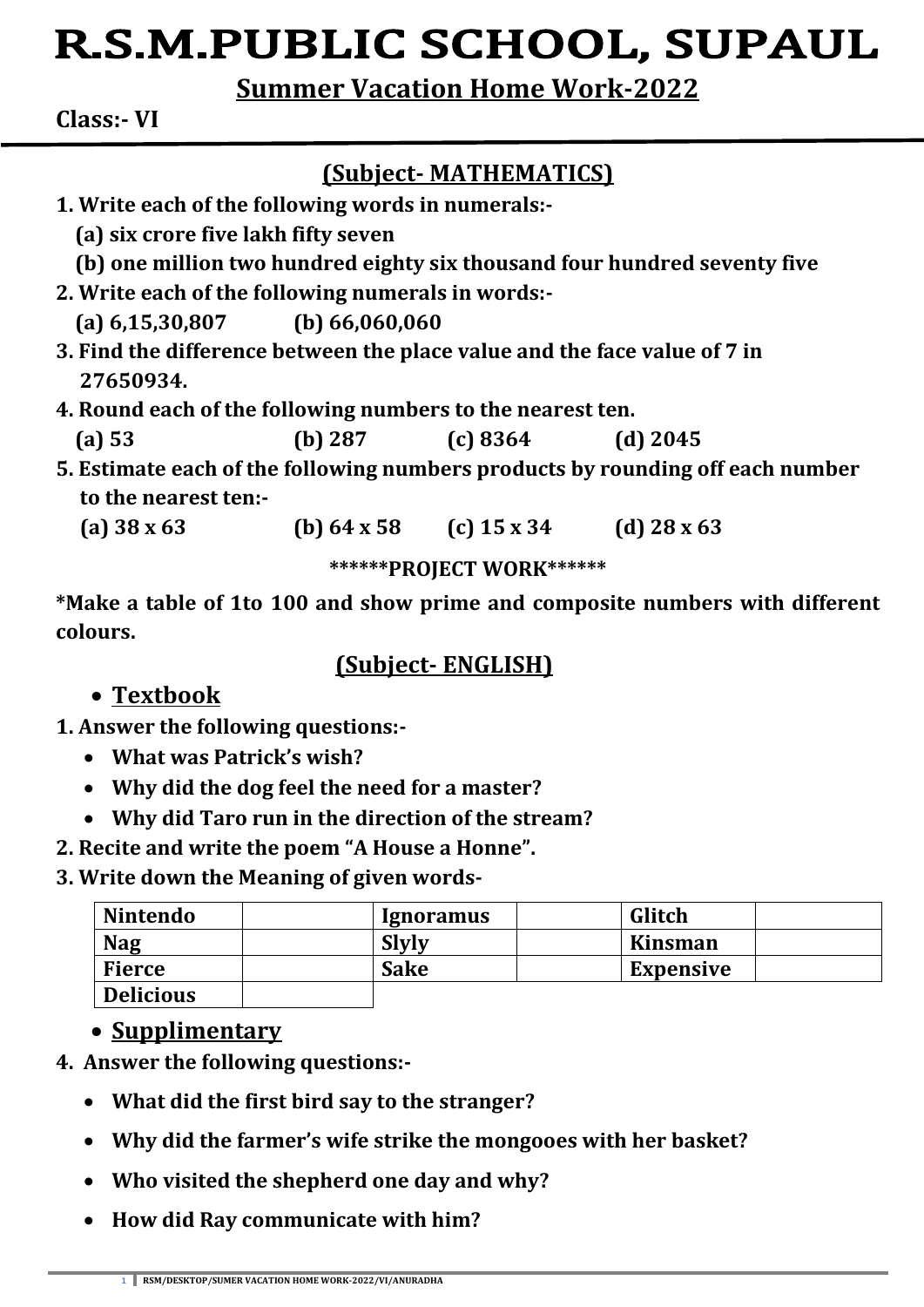# R.S.M.PUBLIC SCHOOL, SUPAUL

**Summer Vacation Home Work-2022**

**Class:- VI**

## **(Subject- MATHEMATICS)**

- **1. Write each of the following words in numerals:- (a) six crore five lakh fifty seven (b) one million two hundred eighty six thousand four hundred seventy five 2. Write each of the following numerals in words:- (a) 6,15,30,807 (b) 66,060,060 3. Find the difference between the place value and the face value of 7 in 27650934. 4. Round each of the following numbers to the nearest ten.**
	- **(a) 53 (b) 287 (c) 8364 (d) 2045**
- **5. Estimate each of the following numbers products by rounding off each number to the nearest ten:-**
	- **(a) 38 x 63 (b) 64 x 58 (c) 15 x 34 (d) 28 x 63**

**\*\*\*\*\*\*PROJECT WORK\*\*\*\*\*\***

**\*Make a table of 1to 100 and show prime and composite numbers with different colours.**

#### **(Subject- ENGLISH)**

## **Textbook**

- **1. Answer the following questions:-**
	- **What was Patrick's wish?**
	- **Why did the dog feel the need for a master?**
	- **Why did Taro run in the direction of the stream?**
- **2. Recite and write the poem "A House a Honne".**
- **3. Write down the Meaning of given words-**

| <b>Nintendo</b>  | <i>Ignoramus</i> | Glitch           |
|------------------|------------------|------------------|
| <b>Nag</b>       | <b>Slyly</b>     | Kinsman          |
| <b>Fierce</b>    | <b>Sake</b>      | <b>Expensive</b> |
| <b>Delicious</b> |                  |                  |

## **Supplimentary**

- **4. Answer the following questions:-**
	- **What did the first bird say to the stranger?**
	- **Why did the farmer's wife strike the mongooes with her basket?**
	- **Who visited the shepherd one day and why?**
	- **How did Ray communicate with him?**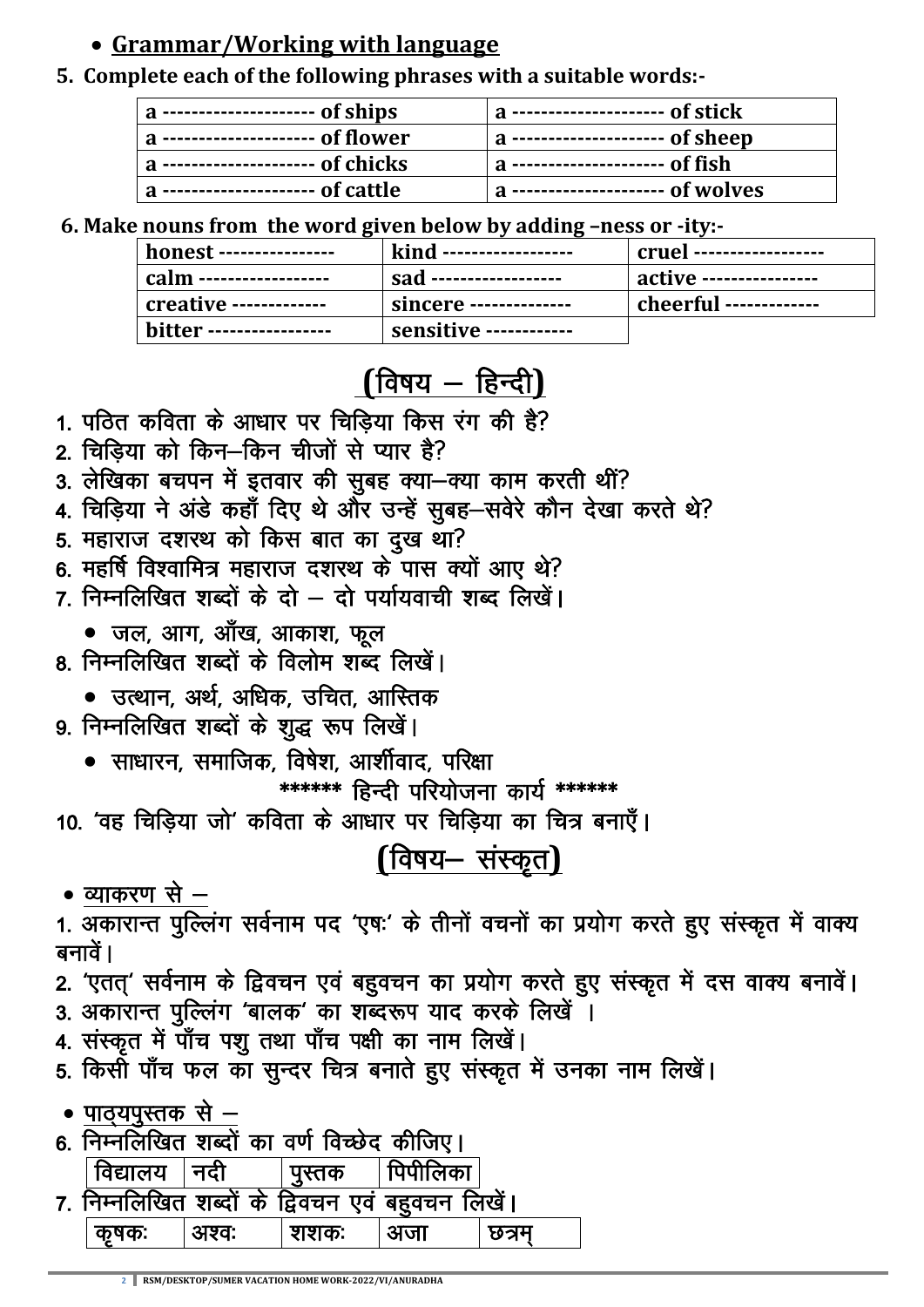## • Grammar/Working with language

#### 5. Complete each of the following phrases with a suitable words:

| $a$ ---------------------- of ships  | a --------------------- of stick     |
|--------------------------------------|--------------------------------------|
| $a$ --------------------- of flower  | a ---------------------- of sheep    |
| $a$ ---------------------- of chicks | $ a$ ---------------------- of fish  |
| a ---------------------- of cattle   | $ a$ --------------------- of wolves |

6. Make nouns from the word given below by adding -ness or -ity:-

| honest ----------------  | kind ------------------ | cruel -------------------             |
|--------------------------|-------------------------|---------------------------------------|
| calm ------------------- | 'sad ------------------ | $\frac{1}{2}$ active ---------------- |
| creative -------------   | sincere --------------  | cheerful -------------                |
| bitter ----------------- | sensitive ------------  |                                       |

# (विषय – हिन्दी)

- 1. पठित कविता के आधार पर चिडिया किस रंग की है?
- 2. चिडिया को किन-किन चीजों से प्यार है?
- 3. लेखिका बचपन में इतवार की सुबह क्या-क्या काम करती थीं?
- 4. चिड़िया ने अंडे कहाँ दिए थे और उन्हें सुबह-सवेरे कौन देखा करते थे?
- 5. महाराज दशरथ को किस बात का दुख था?
- 6. महर्षि विश्वामित्र महाराज दशरथ के पास क्यों आए थे?
- 7 निम्नलिखित शब्दों के दो दो पर्यायवाची शब्द लिखें।
	- जल, आग, आँख, आकाश, फूल
- <u>8. निम्नलिखित शब्दों के विलोम शब्द लिखें।</u>
	- उत्थान, अर्थ, अधिक, उचित, आस्तिक
- 9. निम्नलिखित शब्दों के शुद्ध रूप लिखें।
	- साधारन, समाजिक, विषेश, आर्शीवाद, परिक्षा

\*\*\*\*\*\*\* हिन्दी परियोजना कार्य \*\*\*\*\*\*\*

10. 'वह चिड़िया जो' कविता के आधार पर चिड़िया का चित्र बनाएँ।

## (विषय– संस्कृत)

• व्याकरण से  $-$ 

1. अकारान्त पुल्लिंग सर्वनाम पद 'एषः' के तीनों वचनों का प्रयोग करते हुए संस्कृत में वाक्य बनावें ।

- 2. 'एतत्' सर्वनाम के द्विवचन एवं बहुवचन का प्रयोग करते हुए संस्कृत में दस वाक्य बनावें।
- 3. अकारान्त पुल्लिंग 'बालक' का शब्दरूप याद करके लिखें ।
- 4. संस्कृत में पाँच पशु तथा पाँच पक्षी का नाम लिखें।
- 5. किसी पाँच फल का सुन्दर चित्र बनाते हुए संस्कृत में उनका नाम लिखें।

• पाठयपस्तक से  $-$ 

6. निम्नलिखित शब्दों का वर्ण विच्छेद कीजिए।

| विद्यालय | नदी | पस्तक | पिपीलिका                                      |  |
|----------|-----|-------|-----------------------------------------------|--|
|          |     |       | निम्नलिखित शब्दों के द्विवचन एवं बहुवचन लिखे। |  |
| कषक:     |     | शशक:  |                                               |  |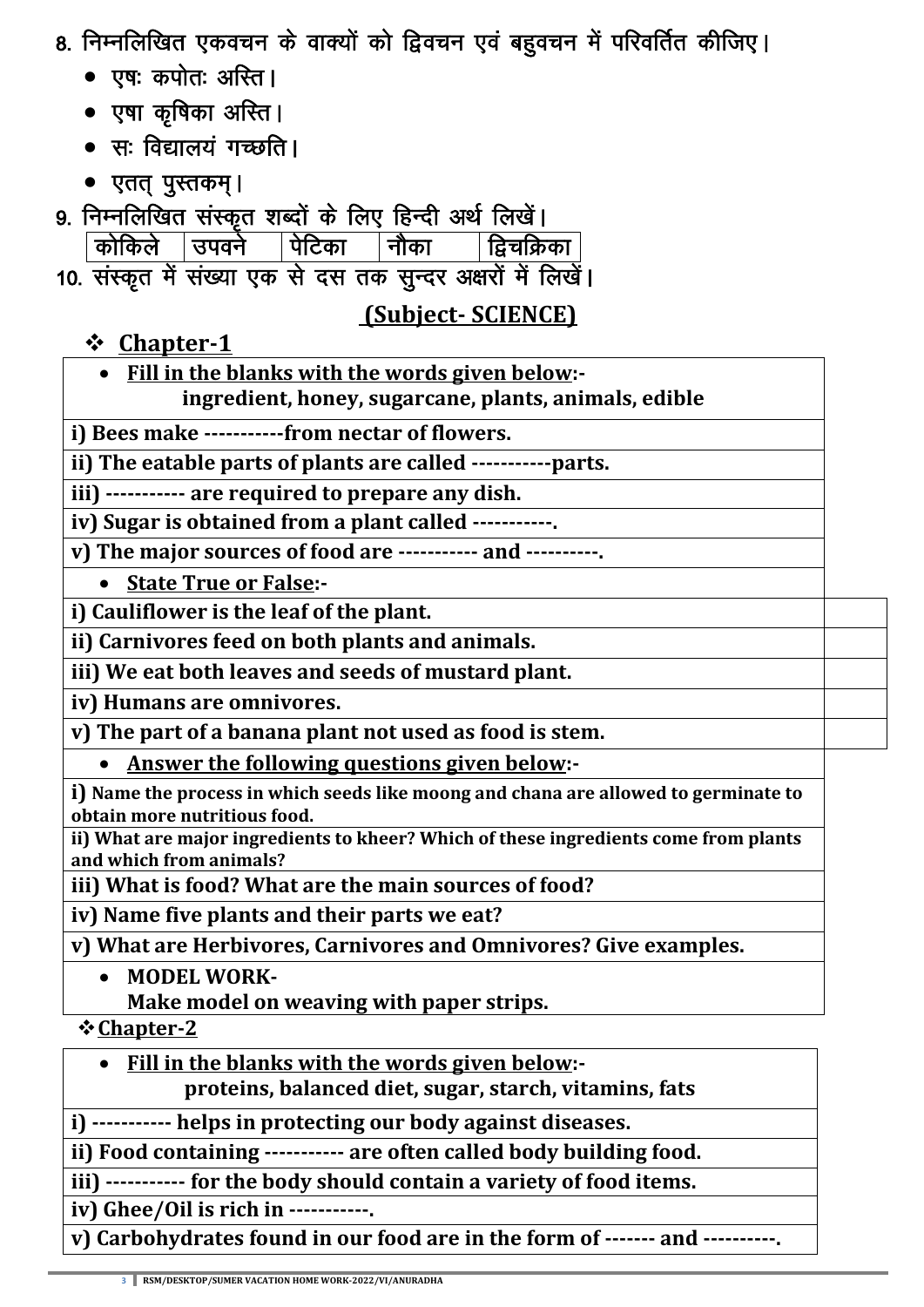- 8. निम्नलिखित एकवचन के वाक्यों को द्विवचन एवं बहुवचन में परिवर्तित कीजिए।
	- $\bullet$  एषः कपोतः अस्ति ।
	- एषा कृषिका अस्ति ।
	- $\bullet$  स: विद्यालयं गच्छति ।
	- एतत् पुस्तकम् ।
- 9. निम्नलिखित संस्कृत शब्दों के लिए हिन्दी अर्थ लिखें।
	- कोकिले उपवर्न पिटिका नौका द्विचक्रिका
- 10. संस्कृत में संख्या एक से दस तक सुन्दर अक्षरों में लिखें।

## **(Subject- SCIENCE)**

**Chapter-1**

**Fill in the blanks with the words given below:-**

**ingredient, honey, sugarcane, plants, animals, edible**

**i) Bees make -----------from nectar of flowers.**

**ii) The eatable parts of plants are called -----------parts.**

**iii) ----------- are required to prepare any dish.**

**iv) Sugar is obtained from a plant called -----------.**

**v) The major sources of food are ----------- and ----------.**

**State True or False:-**

**i) Cauliflower is the leaf of the plant.**

**ii) Carnivores feed on both plants and animals.**

**iii) We eat both leaves and seeds of mustard plant.**

**iv) Humans are omnivores.**

**v) The part of a banana plant not used as food is stem.**

**Answer the following questions given below:-**

**i) Name the process in which seeds like moong and chana are allowed to germinate to obtain more nutritious food.**

**ii) What are major ingredients to kheer? Which of these ingredients come from plants and which from animals?**

**iii) What is food? What are the main sources of food?**

**iv) Name five plants and their parts we eat?**

**v) What are Herbivores, Carnivores and Omnivores? Give examples.**

- **MODEL WORK-**
	- **Make model on weaving with paper strips.**

**Chapter-2**

 **Fill in the blanks with the words given below: proteins, balanced diet, sugar, starch, vitamins, fats**

**i) ----------- helps in protecting our body against diseases.**

**ii) Food containing ----------- are often called body building food.**

**iii) ----------- for the body should contain a variety of food items.**

**iv) Ghee/Oil is rich in -----------.**

**v) Carbohydrates found in our food are in the form of ------- and ----------.**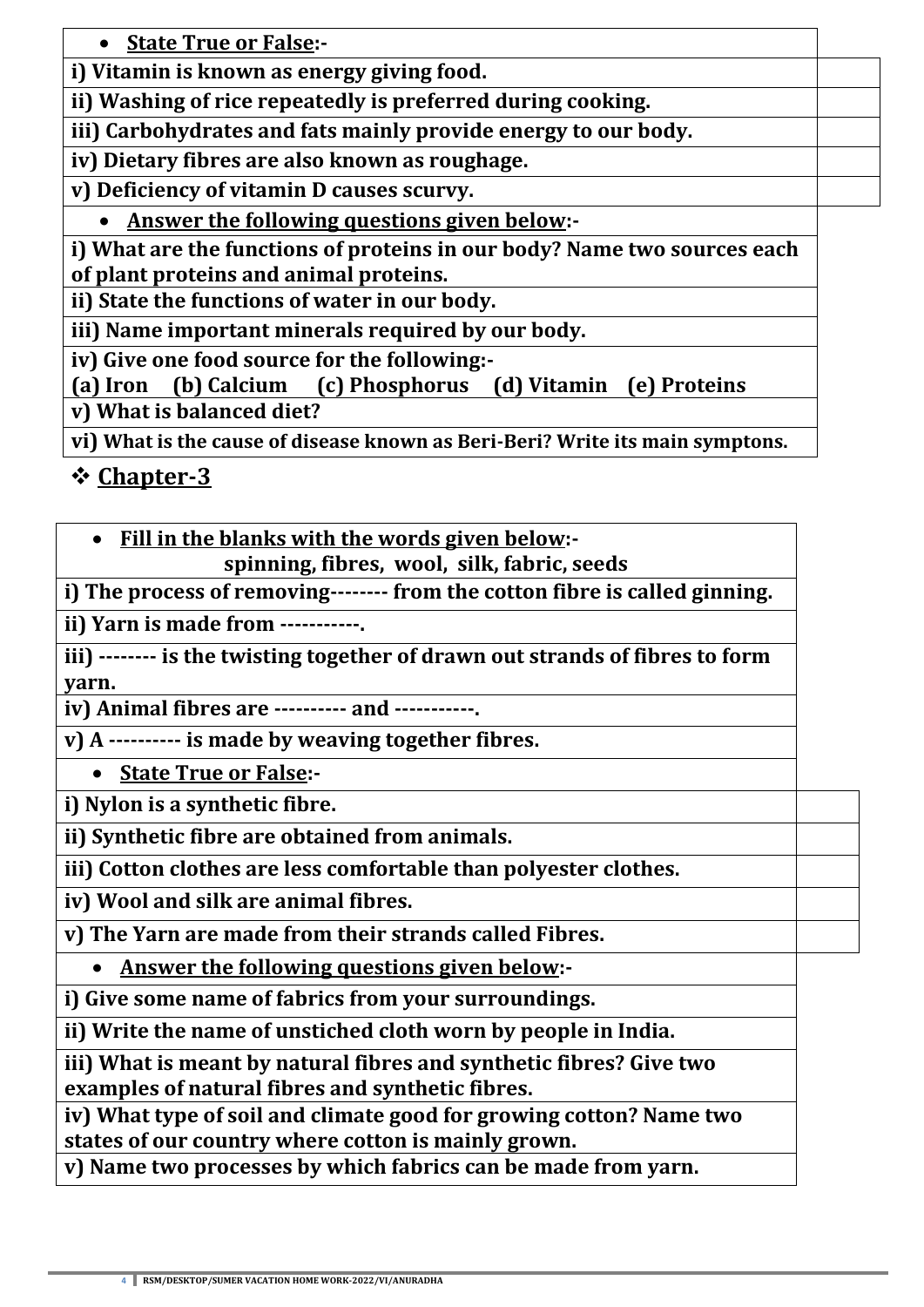**State True or False:-**

**i) Vitamin is known as energy giving food.**

**ii) Washing of rice repeatedly is preferred during cooking.**

**iii) Carbohydrates and fats mainly provide energy to our body.**

**iv) Dietary fibres are also known as roughage.**

**v) Deficiency of vitamin D causes scurvy.**

**Answer the following questions given below:-**

**i) What are the functions of proteins in our body? Name two sources each of plant proteins and animal proteins.**

**ii) State the functions of water in our body.**

**iii) Name important minerals required by our body.**

**iv) Give one food source for the following:-**

**(a) Iron (b) Calcium (c) Phosphorus (d) Vitamin (e) Proteins v) What is balanced diet?**

**vi) What is the cause of disease known as Beri-Beri? Write its main symptons.**

**Chapter-3**

**Fill in the blanks with the words given below:-**

**spinning, fibres, wool, silk, fabric, seeds**

**i) The process of removing-------- from the cotton fibre is called ginning.**

**ii) Yarn is made from -----------.**

**iii) -------- is the twisting together of drawn out strands of fibres to form yarn.**

**iv) Animal fibres are ---------- and -----------.**

**v) A ---------- is made by weaving together fibres.**

**State True or False:-**

**i) Nylon is a synthetic fibre.**

**ii) Synthetic fibre are obtained from animals.**

**iii) Cotton clothes are less comfortable than polyester clothes.**

**iv) Wool and silk are animal fibres.**

**v) The Yarn are made from their strands called Fibres.**

**Answer the following questions given below:-**

**i) Give some name of fabrics from your surroundings.**

**ii) Write the name of unstiched cloth worn by people in India.**

**iii) What is meant by natural fibres and synthetic fibres? Give two examples of natural fibres and synthetic fibres.**

**iv) What type of soil and climate good for growing cotton? Name two states of our country where cotton is mainly grown.**

**v) Name two processes by which fabrics can be made from yarn.**